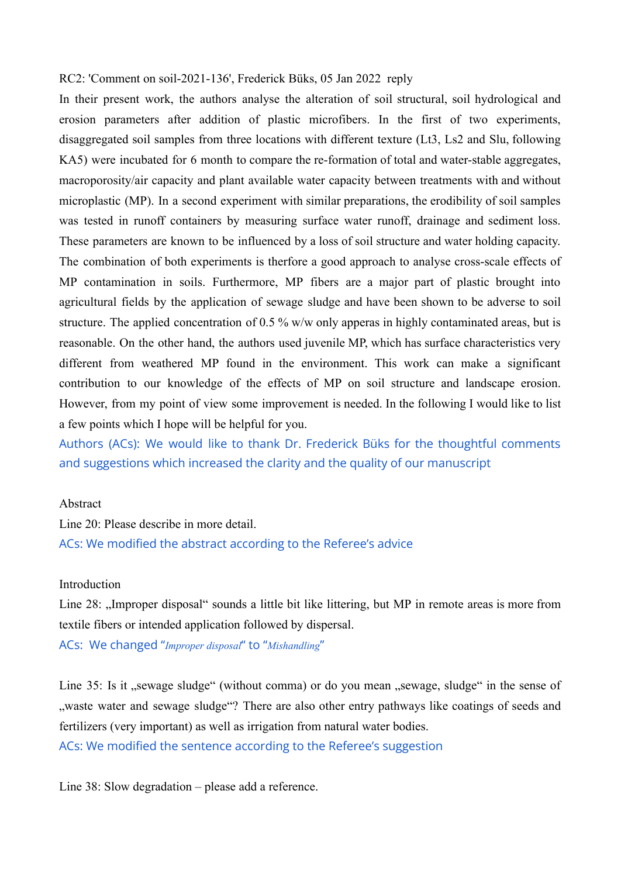#### RC2: 'Comment on soil-2021-136', Frederick Büks, 05 Jan 2022 reply

In their present work, the authors analyse the alteration of soil structural, soil hydrological and erosion parameters after addition of plastic microfibers. In the first of two experiments, disaggregated soil samples from three locations with different texture (Lt3, Ls2 and Slu, following KA5) were incubated for 6 month to compare the re-formation of total and water-stable aggregates, macroporosity/air capacity and plant available water capacity between treatments with and without microplastic (MP). In a second experiment with similar preparations, the erodibility of soil samples was tested in runoff containers by measuring surface water runoff, drainage and sediment loss. These parameters are known to be influenced by a loss of soil structure and water holding capacity. The combination of both experiments is therfore a good approach to analyse cross-scale effects of MP contamination in soils. Furthermore, MP fibers are a major part of plastic brought into agricultural fields by the application of sewage sludge and have been shown to be adverse to soil structure. The applied concentration of 0.5 % w/w only apperas in highly contaminated areas, but is reasonable. On the other hand, the authors used juvenile MP, which has surface characteristics very different from weathered MP found in the environment. This work can make a significant contribution to our knowledge of the effects of MP on soil structure and landscape erosion. However, from my point of view some improvement is needed. In the following I would like to list a few points which I hope will be helpful for you.

Authors (ACs): We would like to thank Dr. Frederick Büks for the thoughtful comments and suggestions which increased the clarity and the quality of our manuscript

## Abstract

Line 20: Please describe in more detail. ACs: We modified the abstract according to the Referee's advice

# **Introduction**

Line 28: "Improper disposal" sounds a little bit like littering, but MP in remote areas is more from textile fibers or intended application followed by dispersal.

ACs: We changed "*Improper disposal*" to "*Mishandling*"

Line 35: Is it "sewage sludge" (without comma) or do you mean "sewage, sludge" in the sense of ", waste water and sewage sludge"? There are also other entry pathways like coatings of seeds and fertilizers (very important) as well as irrigation from natural water bodies.

ACs: We modified the sentence according to the Referee's suggestion

Line 38: Slow degradation – please add a reference.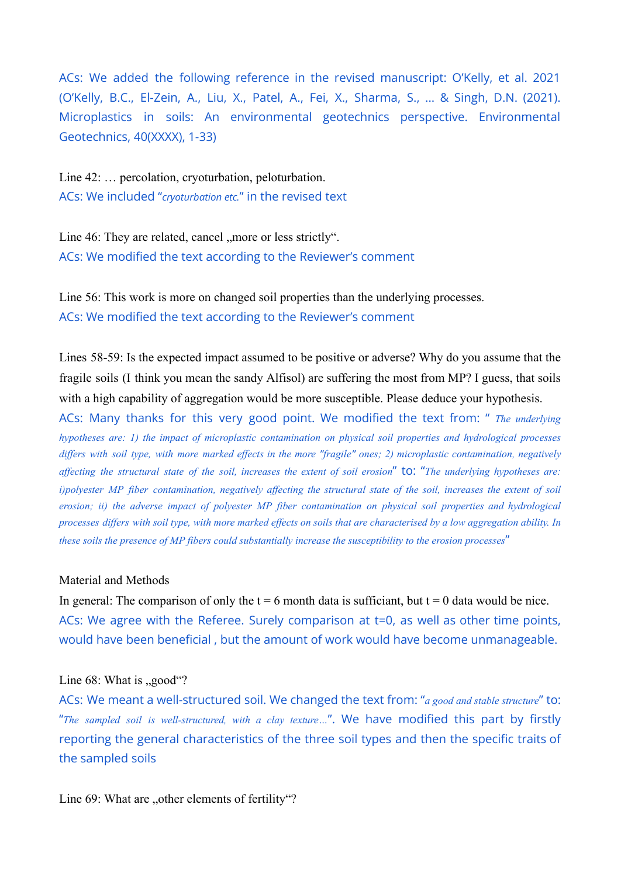ACs: We added the following reference in the revised manuscript: O'Kelly, et al. 2021 (O'Kelly, B.C., El-Zein, A., Liu, X., Patel, A., Fei, X., Sharma, S., ... & Singh, D.N. (2021). Microplastics in soils: An environmental geotechnics perspective. Environmental Geotechnics, 40(XXXX), 1-33)

Line 42: … percolation, cryoturbation, peloturbation. ACs: We included "*cryoturbation etc.*" in the revised text

Line 46: They are related, cancel "more or less strictly". ACs: We modified the text according to the Reviewer's comment

Line 56: This work is more on changed soil properties than the underlying processes. ACs: We modified the text according to the Reviewer's comment

Lines 58-59: Is the expected impact assumed to be positive or adverse? Why do you assume that the fragile soils (I think you mean the sandy Alfisol) are suffering the most from MP? I guess, that soils with a high capability of aggregation would be more susceptible. Please deduce your hypothesis.

ACs: Many thanks for this very good point. We modified the text from: " *The underlying hypotheses are: 1) the impact of microplastic contamination on physical soil properties and hydrological processes* differs with soil type, with more marked effects in the more "fragile" ones; 2) microplastic contamination, negatively affecting the structural state of the soil, increases the extent of soil erosion" to: "The underlying hypotheses are: i)polyester MP fiber contamination, negatively affecting the structural state of the soil, increases the extent of soil *erosion; ii) the adverse impact of polyester MP fiber contamination on physical soil properties and hydrological* processes differs with soil type, with more marked effects on soils that are characterised by a low aggregation ability. In *these soils the presence of MP fibers could substantially increase the susceptibility to the erosion processes*"

## Material and Methods

In general: The comparison of only the  $t = 6$  month data is sufficiant, but  $t = 0$  data would be nice. ACs: We agree with the Referee. Surely comparison at t=0, as well as other time points, would have been beneficial , but the amount of work would have become unmanageable.

#### Line  $68$ : What is  $\text{``good''}$ ?

ACs: We meant a well-structured soil. We changed the text from: "*a good and stable structure*" to: "*The sampled soil is well-structured, with a clay texture…*". We have modified this part by firstly reporting the general characteristics of the three soil types and then the specific traits of the sampled soils

Line 69: What are "other elements of fertility"?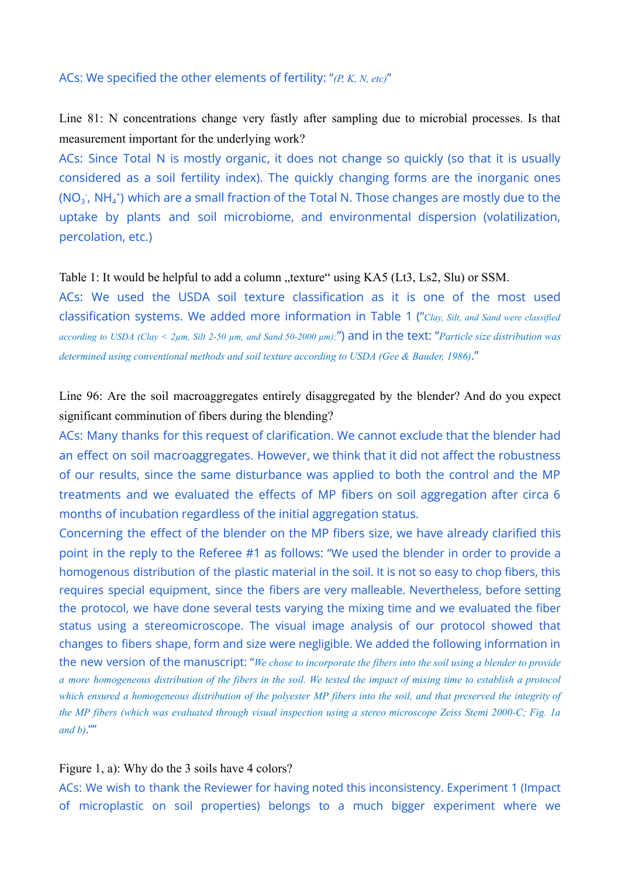# ACs: We specified the other elements of fertility: "*(P, K, N, etc)*"

Line 81: N concentrations change very fastly after sampling due to microbial processes. Is that measurement important for the underlying work?

ACs: Since Total N is mostly organic, it does not change so quickly (so that it is usually considered as a soil fertility index). The quickly changing forms are the inorganic ones (NO<sub>3</sub><sup>\*</sup>, NH<sub>4</sub><sup>+</sup>) which are a small fraction of the Total N. Those changes are mostly due to the uptake by plants and soil microbiome, and environmental dispersion (volatilization, percolation, etc.)

#### Table 1: It would be helpful to add a column "texture" using KA5 (Lt3, Ls2, Slu) or SSM.

ACs: We used the USDA soil texture classification as it is one of the most used classification systems. We added more information in Table 1 ("*Clay, Silt, and Sand were classified* according to USDA (Clay  $\leq 2\mu$ m, Silt 2-50  $\mu$ m, and Sand 50-2000  $\mu$ m);") and in the text: "Particle size distribution was *determined using conventional methods and soil texture according to USDA (Gee & [Bauder,](https://www.zotero.org/google-docs/?cbRdzA) 1986)*."

Line 96: Are the soil macroaggregates entirely disaggregated by the blender? And do you expect significant comminution of fibers during the blending?

ACs: Many thanks for this request of clarification. We cannot exclude that the blender had an effect on soil macroaggregates. However, we think that it did not affect the robustness of our results, since the same disturbance was applied to both the control and the MP treatments and we evaluated the effects of MP fibers on soil aggregation after circa 6 months of incubation regardless of the initial aggregation status.

Concerning the effect of the blender on the MP fibers size, we have already clarified this point in the reply to the Referee #1 as follows: "We used the blender in order to provide a homogenous distribution of the plastic material in the soil. It is not so easy to chop fibers, this requires special equipment, since the fibers are very malleable. Nevertheless, before setting the protocol, we have done several tests varying the mixing time and we evaluated the fiber status using a stereomicroscope. The visual image analysis of our protocol showed that changes to fibers shape, form and size were negligible. We added the following information in the new version of the manuscript: "*We chose to incorporate the fibers into the soil using a blender to provide* a more homogeneous distribution of the fibers in the soil. We tested the impact of mixing time to establish a protocol which ensured a homogeneous distribution of the polyester MP fibers into the soil, and that preserved the integrity of the MP fibers (which was evaluated through visual inspection using a stereo microscope Zeiss Stemi 2000-C; Fig. 1a  $and b)$ .""

#### Figure 1, a): Why do the 3 soils have 4 colors?

ACs: We wish to thank the Reviewer for having noted this inconsistency. Experiment 1 (Impact of microplastic on soil properties) belongs to a much bigger experiment where we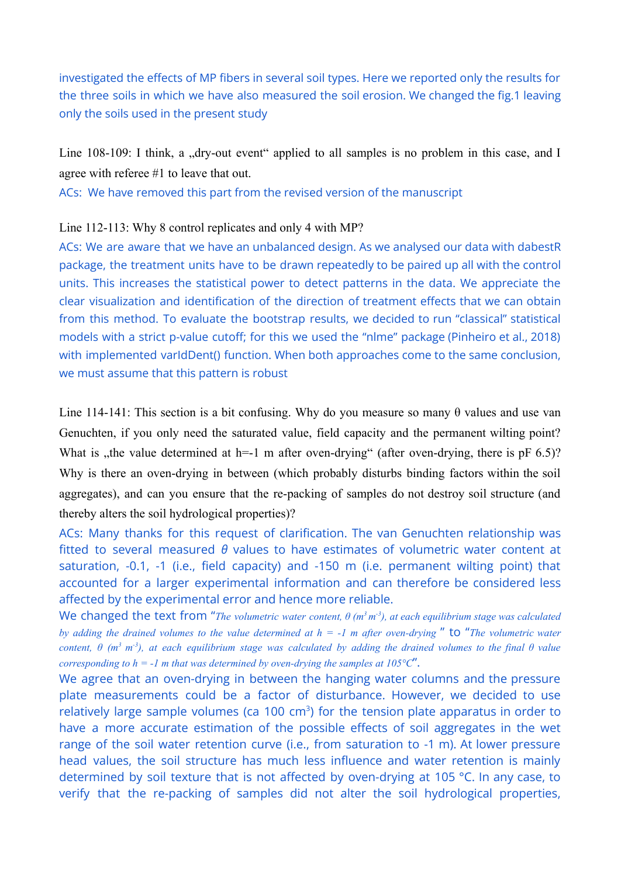investigated the effects of MP fibers in several soil types. Here we reported only the results for the three soils in which we have also measured the soil erosion. We changed the fig.1 leaving only the soils used in the present study

Line 108-109: I think, a "dry-out event" applied to all samples is no problem in this case, and I agree with referee #1 to leave that out.

ACs: We have removed this part from the revised version of the manuscript

## Line 112-113: Why 8 control replicates and only 4 with MP?

ACs: We are aware that we have an unbalanced design. As we analysed our data with dabestR package, the treatment units have to be drawn repeatedly to be paired up all with the control units. This increases the statistical power to detect patterns in the data. We appreciate the clear visualization and identification of the direction of treatment effects that we can obtain from this method. To evaluate the bootstrap results, we decided to run "classical" statistical models with a strict p-value cutoff; for this we used the "nlme" package (Pinheiro et al., 2018) with implemented varIdDent() function. When both approaches come to the same conclusion, we must assume that this pattern is robust

Line 114-141: This section is a bit confusing. Why do you measure so many  $\theta$  values and use van Genuchten, if you only need the saturated value, field capacity and the permanent wilting point? What is , the value determined at h=-1 m after oven-drying" (after oven-drying, there is pF  $6.5$ )? Why is there an oven-drying in between (which probably disturbs binding factors within the soil aggregates), and can you ensure that the re-packing of samples do not destroy soil structure (and thereby alters the soil hydrological properties)?

ACs: Many thanks for this request of clarification. The van Genuchten relationship was fitted to several measured *θ* values to have estimates of volumetric water content at saturation, -0.1, -1 (i.e., field capacity) and -150 m (i.e. permanent wilting point) that accounted for a larger experimental information and can therefore be considered less affected by the experimental error and hence more reliable.

We changed the text from "*The volumetric water content, θ (m <sup>3</sup> m -3), at each equilibrium stage was calculated* by adding the drained volumes to the value determined at  $h = -1$  m after oven-drying " to "The volumetric water content,  $\theta$  (m<sup>3</sup> m<sup>-3</sup>), at each equilibrium stage was calculated by adding the drained volumes to the final  $\theta$  value *corresponding to*  $h = -1$  *m that was determined by oven-drying the samples at* 105°C".

We agree that an oven-drying in between the hanging water columns and the pressure plate measurements could be a factor of disturbance. However, we decided to use relatively large sample volumes (ca 100  $\text{cm}^3$ ) for the tension plate apparatus in order to have a more accurate estimation of the possible effects of soil aggregates in the wet range of the soil water retention curve (i.e., from saturation to -1 m). At lower pressure head values, the soil structure has much less influence and water retention is mainly determined by soil texture that is not affected by oven-drying at 105 °C. In any case, to verify that the re-packing of samples did not alter the soil hydrological properties,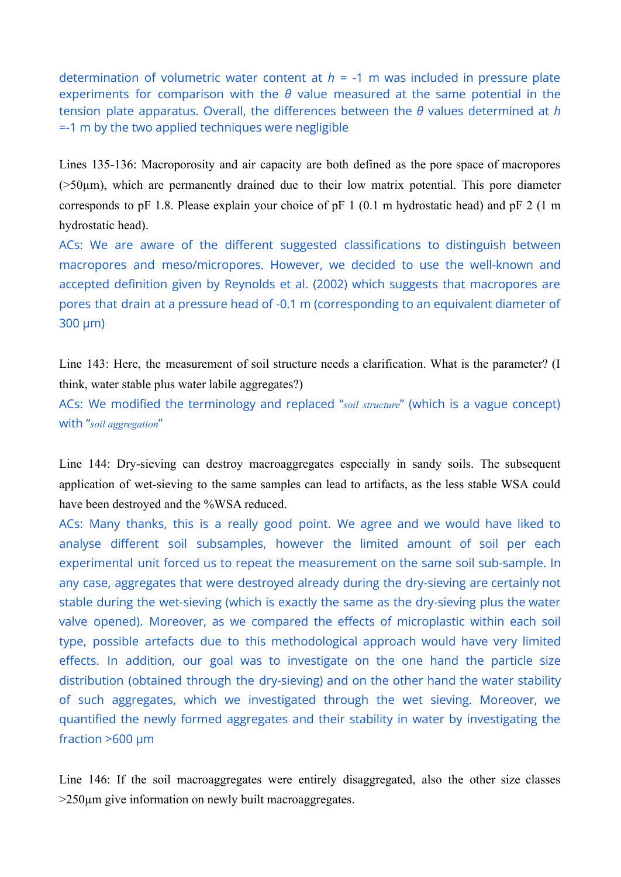determination of volumetric water content at  $h = -1$  m was included in pressure plate experiments for comparison with the *θ* value measured at the same potential in the tension plate apparatus. Overall, the differences between the *θ* values determined at *h* =-1 m by the two applied techniques were negligible

Lines 135-136: Macroporosity and air capacity are both defined as the pore space of macropores  $(50µm)$ , which are permanently drained due to their low matrix potential. This pore diameter corresponds to pF 1.8. Please explain your choice of pF 1 (0.1 m hydrostatic head) and pF 2 (1 m hydrostatic head).

ACs: We are aware of the different suggested classifications to distinguish between macropores and meso/micropores. However, we decided to use the well-known and accepted definition given by Reynolds et al. (2002) which suggests that macropores are pores that drain at a pressure head of -0.1 m (corresponding to an equivalent diameter of 300 µm)

Line 143: Here, the measurement of soil structure needs a clarification. What is the parameter? (I think, water stable plus water labile aggregates?)

ACs: We modified the terminology and replaced "*soil structure*" (which is a vague concept) with "*soil aggregation*"

Line 144: Dry-sieving can destroy macroaggregates especially in sandy soils. The subsequent application of wet-sieving to the same samples can lead to artifacts, as the less stable WSA could have been destroyed and the %WSA reduced.

ACs: Many thanks, this is a really good point. We agree and we would have liked to analyse different soil subsamples, however the limited amount of soil per each experimental unit forced us to repeat the measurement on the same soil sub-sample. In any case, aggregates that were destroyed already during the dry-sieving are certainly not stable during the wet-sieving (which is exactly the same as the dry-sieving plus the water valve opened). Moreover, as we compared the effects of microplastic within each soil type, possible artefacts due to this methodological approach would have very limited effects. In addition, our goal was to investigate on the one hand the particle size distribution (obtained through the dry-sieving) and on the other hand the water stability of such aggregates, which we investigated through the wet sieving. Moreover, we quantified the newly formed aggregates and their stability in water by investigating the fraction  $>600 \mu m$ 

Line 146: If the soil macroaggregates were entirely disaggregated, also the other size classes >250µm give information on newly built macroaggregates.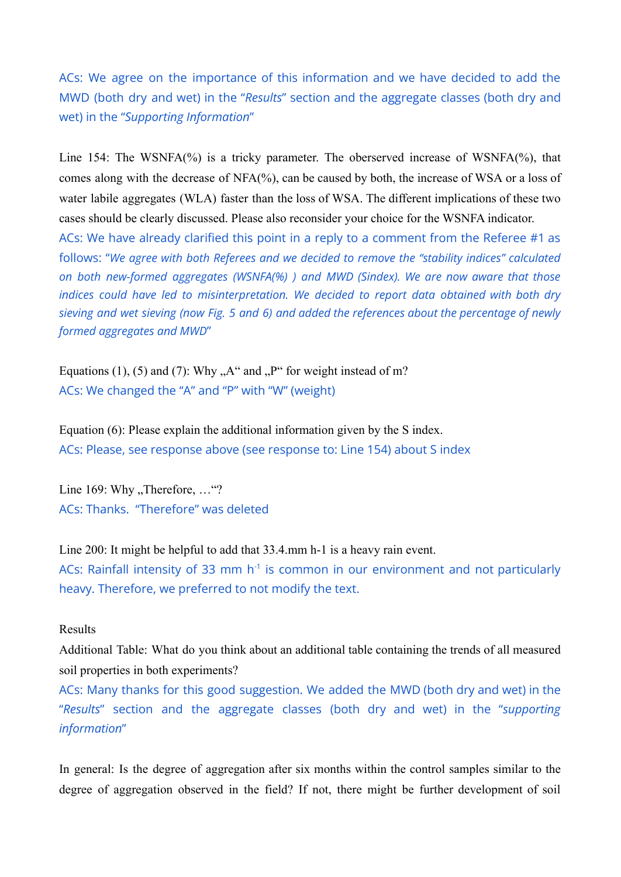ACs: We agree on the importance of this information and we have decided to add the MWD (both dry and wet) in the "*Results*" section and the aggregate classes (both dry and wet) in the "*Supporting Information*"

Line 154: The WSNFA(%) is a tricky parameter. The oberserved increase of WSNFA(%), that comes along with the decrease of NFA(%), can be caused by both, the increase of WSA or a loss of water labile aggregates (WLA) faster than the loss of WSA. The different implications of these two cases should be clearly discussed. Please also reconsider your choice for the WSNFA indicator. ACs: We have already clarified this point in a reply to a comment from the Referee #1 as follows: "*We agree with both Referees and we decided to remove the "stability indices" calculated on both new-formed aggregates (WSNFA(%) ) and MWD (Sindex). We are now aware that those indices could have led to misinterpretation. We decided to report data obtained with both dry sieving and wet sieving (now Fig. 5 and 6) and added the references about the percentage of newly formed aggregates and MWD*"

Equations (1), (5) and (7): Why  $.A''$  and  $.P''$  for weight instead of m? ACs: We changed the "A" and "P" with "W" (weight)

Equation (6): Please explain the additional information given by the S index. ACs: Please, see response above (see response to: Line 154) about S index

Line  $169$ : Why  $\Gamma$ herefore,  $\ldots$  "? ACs: Thanks. "Therefore" was deleted

Line 200: It might be helpful to add that 33.4.mm h-1 is a heavy rain event.

ACs: Rainfall intensity of 33 mm  $h^{-1}$  is common in our environment and not particularly heavy. Therefore, we preferred to not modify the text.

## Results

Additional Table: What do you think about an additional table containing the trends of all measured soil properties in both experiments?

ACs: Many thanks for this good suggestion. We added the MWD (both dry and wet) in the "*Results*" section and the aggregate classes (both dry and wet) in the "*supporting information*"

In general: Is the degree of aggregation after six months within the control samples similar to the degree of aggregation observed in the field? If not, there might be further development of soil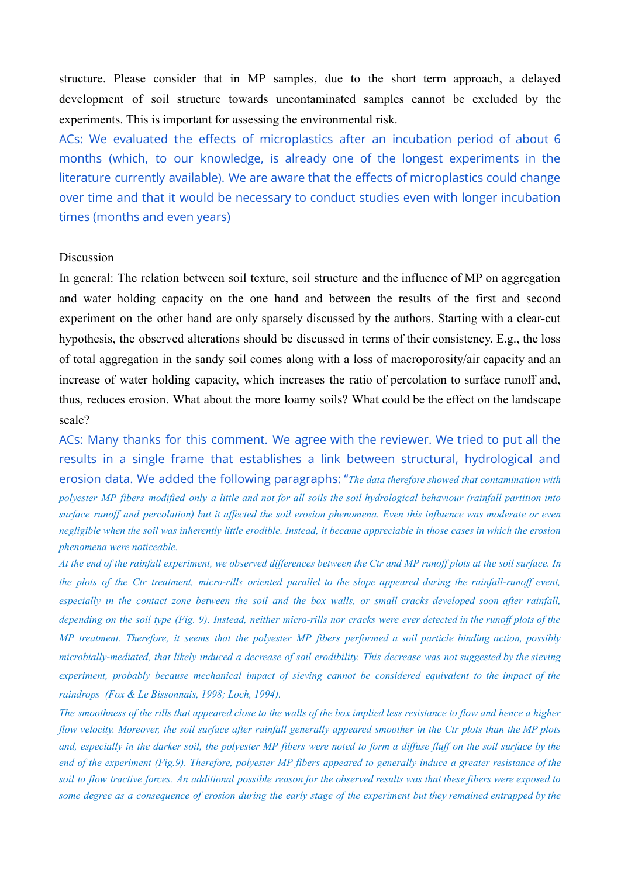structure. Please consider that in MP samples, due to the short term approach, a delayed development of soil structure towards uncontaminated samples cannot be excluded by the experiments. This is important for assessing the environmental risk.

ACs: We evaluated the effects of microplastics after an incubation period of about 6 months (which, to our knowledge, is already one of the longest experiments in the literature currently available). We are aware that the effects of microplastics could change over time and that it would be necessary to conduct studies even with longer incubation times (months and even years)

# Discussion

In general: The relation between soil texture, soil structure and the influence of MP on aggregation and water holding capacity on the one hand and between the results of the first and second experiment on the other hand are only sparsely discussed by the authors. Starting with a clear-cut hypothesis, the observed alterations should be discussed in terms of their consistency. E.g., the loss of total aggregation in the sandy soil comes along with a loss of macroporosity/air capacity and an increase of water holding capacity, which increases the ratio of percolation to surface runoff and, thus, reduces erosion. What about the more loamy soils? What could be the effect on the landscape scale?

ACs: Many thanks for this comment. We agree with the reviewer. We tried to put all the results in a single frame that establishes a link between structural, hydrological and erosion data. We added the following paragraphs: "*The data therefore showed that contamination with* polyester MP fibers modified only a little and not for all soils the soil hydrological behaviour (rainfall partition into surface runoff and percolation) but it affected the soil erosion phenomena. Even this influence was moderate or even negligible when the soil was inherently little erodible. Instead, it became appreciable in those cases in which the erosion *phenomena were noticeable.*

At the end of the rainfall experiment, we observed differences between the Ctr and MP runoff plots at the soil surface. In the plots of the Ctr treatment, micro-rills oriented parallel to the slope appeared during the rainfall-runoff event, especially in the contact zone between the soil and the box walls, or small cracks developed soon after rainfall, depending on the soil type (Fig. 9). Instead, neither micro-rills nor cracks were ever detected in the runoff plots of the MP treatment. Therefore, it seems that the polyester MP fibers performed a soil particle binding action, possibly microbially-mediated, that likely induced a decrease of soil erodibility. This decrease was not suggested by the sieving *experiment, probably because mechanical impact of sieving cannot be considered equivalent to the impact of the raindrops (Fox & Le [Bissonnais,](https://www.zotero.org/google-docs/?1cqSpG) 1998; Loch, 1994).*

The smoothness of the rills that appeared close to the walls of the box implied less resistance to flow and hence a higher flow velocity. Moreover, the soil surface after rainfall generally appeared smoother in the Ctr plots than the MP plots and, especially in the darker soil, the polyester MP fibers were noted to form a diffuse fluff on the soil surface by the end of the experiment (Fig.9). Therefore, polyester MP fibers appeared to generally induce a greater resistance of the soil to flow tractive forces. An additional possible reason for the observed results was that these fibers were exposed to some degree as a consequence of erosion during the early stage of the experiment but they remained entrapped by the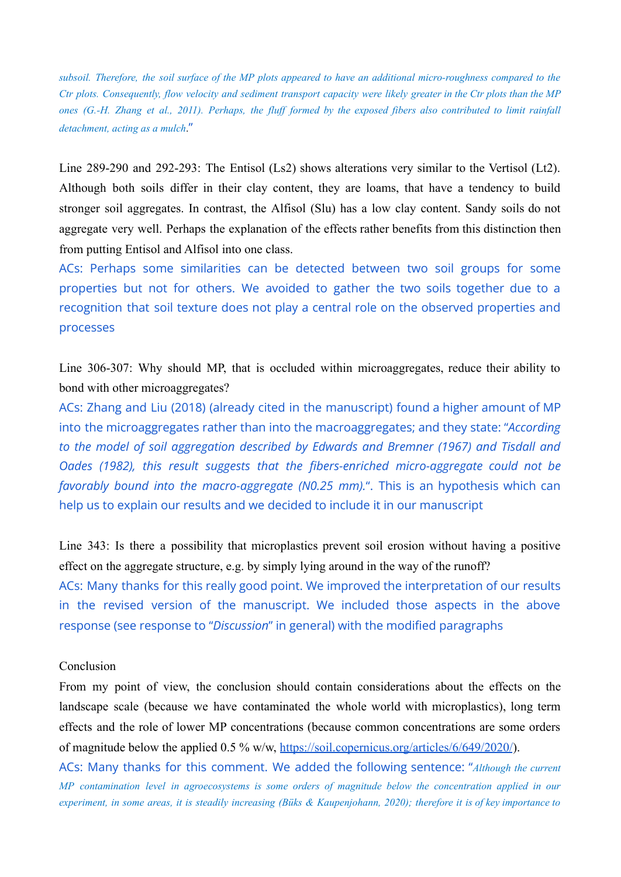subsoil. Therefore, the soil surface of the MP plots appeared to have an additional micro-roughness compared to the Ctr plots. Consequently, flow velocity and sediment transport capacity were likely greater in the Ctr plots than the MP ones [\(G.-H.](https://www.zotero.org/google-docs/?SJa1Ra) Zhang et al., 2011). Perhaps, the fluff formed by the exposed fibers also contributed to limit rainfall *detachment, acting as a mulch*."

Line 289-290 and 292-293: The Entisol (Ls2) shows alterations very similar to the Vertisol (Lt2). Although both soils differ in their clay content, they are loams, that have a tendency to build stronger soil aggregates. In contrast, the Alfisol (Slu) has a low clay content. Sandy soils do not aggregate very well. Perhaps the explanation of the effects rather benefits from this distinction then from putting Entisol and Alfisol into one class.

ACs: Perhaps some similarities can be detected between two soil groups for some properties but not for others. We avoided to gather the two soils together due to a recognition that soil texture does not play a central role on the observed properties and processes

Line 306-307: Why should MP, that is occluded within microaggregates, reduce their ability to bond with other microaggregates?

ACs: Zhang and Liu (2018) (already cited in the manuscript) found a higher amount of MP into the microaggregates rather than into the macroaggregates; and they state: "*According to the model of soil aggregation described by Edwards and Bremner (1967) and Tisdall and Oades (1982), this result suggests that the fibers-enriched micro-aggregate could not be favorably bound into the macro-aggregate (N0.25 mm).*". This is an hypothesis which can help us to explain our results and we decided to include it in our manuscript

Line 343: Is there a possibility that microplastics prevent soil erosion without having a positive effect on the aggregate structure, e.g. by simply lying around in the way of the runoff? ACs: Many thanks for this really good point. We improved the interpretation of our results in the revised version of the manuscript. We included those aspects in the above response (see response to "*Discussion*" in general) with the modified paragraphs

# Conclusion

From my point of view, the conclusion should contain considerations about the effects on the landscape scale (because we have contaminated the whole world with microplastics), long term effects and the role of lower MP concentrations (because common concentrations are some orders of magnitude below the applied 0.5 % w/w, <https://soil.copernicus.org/articles/6/649/2020/>).

ACs: Many thanks for this comment. We added the following sentence: "*Although the current MP contamination level in agroecosystems is some orders of magnitude below the concentration applied in our* experiment, in some areas, it is steadily increasing (Büks & [Kaupenjohann,](https://www.zotero.org/google-docs/?o4zHKu) 2020); therefore it is of key importance to